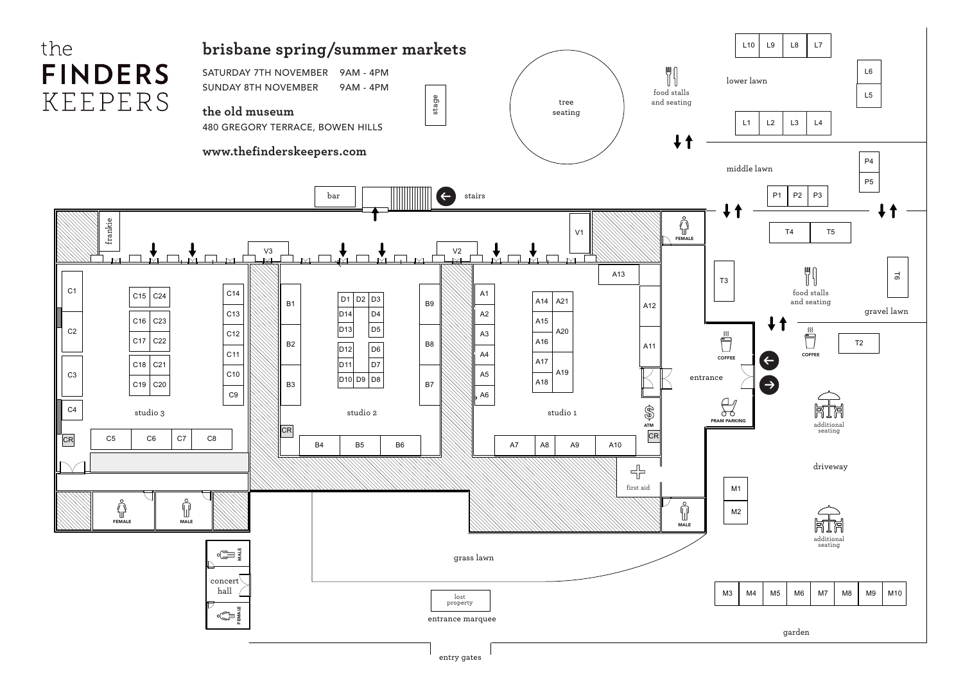